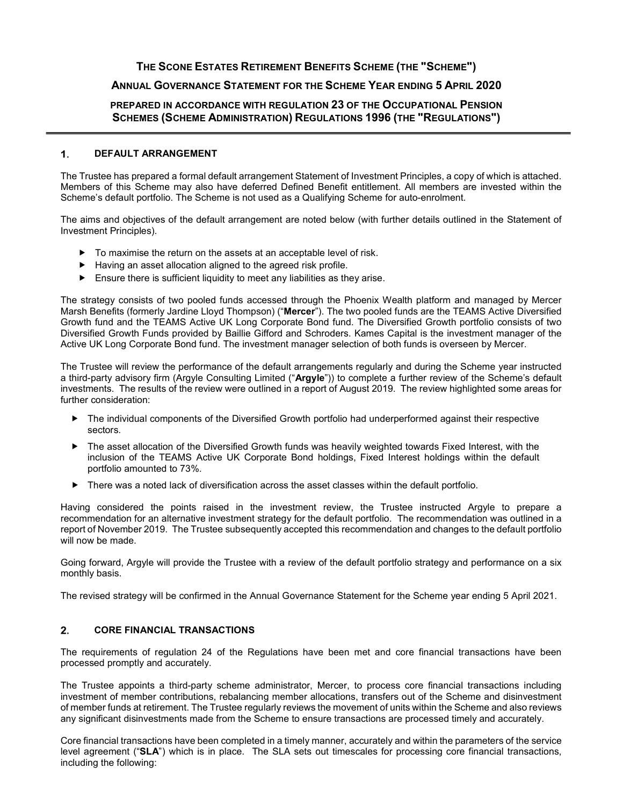## **THE SCONE ESTATES RETIREMENT BENEFITS SCHEME (THE "SCHEME")**

# **ANNUAL GOVERNANCE STATEMENT FOR THE SCHEME YEAR ENDING 5 APRIL 2020**

## **PREPARED IN ACCORDANCE WITH REGULATION 23 OF THE OCCUPATIONAL PENSION SCHEMES (SCHEME ADMINISTRATION) REGULATIONS 1996 (THE "REGULATIONS")**

#### **DEFAULT ARRANGEMENT**

The Trustee has prepared a formal default arrangement Statement of Investment Principles, a copy of which is attached. Members of this Scheme may also have deferred Defined Benefit entitlement. All members are invested within the Scheme's default portfolio. The Scheme is not used as a Qualifying Scheme for auto-enrolment.

The aims and objectives of the default arrangement are noted below (with further details outlined in the Statement of Investment Principles).

- $\triangleright$  To maximise the return on the assets at an acceptable level of risk.
- Having an asset allocation aligned to the agreed risk profile.
- $\blacktriangleright$  Ensure there is sufficient liquidity to meet any liabilities as they arise.

The strategy consists of two pooled funds accessed through the Phoenix Wealth platform and managed by Mercer Marsh Benefits (formerly Jardine Lloyd Thompson) ("**Mercer**"). The two pooled funds are the TEAMS Active Diversified Growth fund and the TEAMS Active UK Long Corporate Bond fund. The Diversified Growth portfolio consists of two Diversified Growth Funds provided by Baillie Gifford and Schroders. Kames Capital is the investment manager of the Active UK Long Corporate Bond fund. The investment manager selection of both funds is overseen by Mercer.

The Trustee will review the performance of the default arrangements regularly and during the Scheme year instructed a third-party advisory firm (Argyle Consulting Limited ("**Argyle**")) to complete a further review of the Scheme's default investments. The results of the review were outlined in a report of August 2019. The review highlighted some areas for further consideration:

- The individual components of the Diversified Growth portfolio had underperformed against their respective sectors.
- ▶ The asset allocation of the Diversified Growth funds was heavily weighted towards Fixed Interest, with the inclusion of the TEAMS Active UK Corporate Bond holdings, Fixed Interest holdings within the default portfolio amounted to 73%.
- ▶ There was a noted lack of diversification across the asset classes within the default portfolio.

Having considered the points raised in the investment review, the Trustee instructed Argyle to prepare a recommendation for an alternative investment strategy for the default portfolio. The recommendation was outlined in a report of November 2019. The Trustee subsequently accepted this recommendation and changes to the default portfolio will now be made.

Going forward, Argyle will provide the Trustee with a review of the default portfolio strategy and performance on a six monthly basis.

The revised strategy will be confirmed in the Annual Governance Statement for the Scheme year ending 5 April 2021.

### **CORE FINANCIAL TRANSACTIONS**

The requirements of regulation 24 of the Regulations have been met and core financial transactions have been processed promptly and accurately.

The Trustee appoints a third-party scheme administrator, Mercer, to process core financial transactions including investment of member contributions, rebalancing member allocations, transfers out of the Scheme and disinvestment of member funds at retirement. The Trustee regularly reviews the movement of units within the Scheme and also reviews any significant disinvestments made from the Scheme to ensure transactions are processed timely and accurately.

Core financial transactions have been completed in a timely manner, accurately and within the parameters of the service level agreement ("**SLA**") which is in place. The SLA sets out timescales for processing core financial transactions, including the following: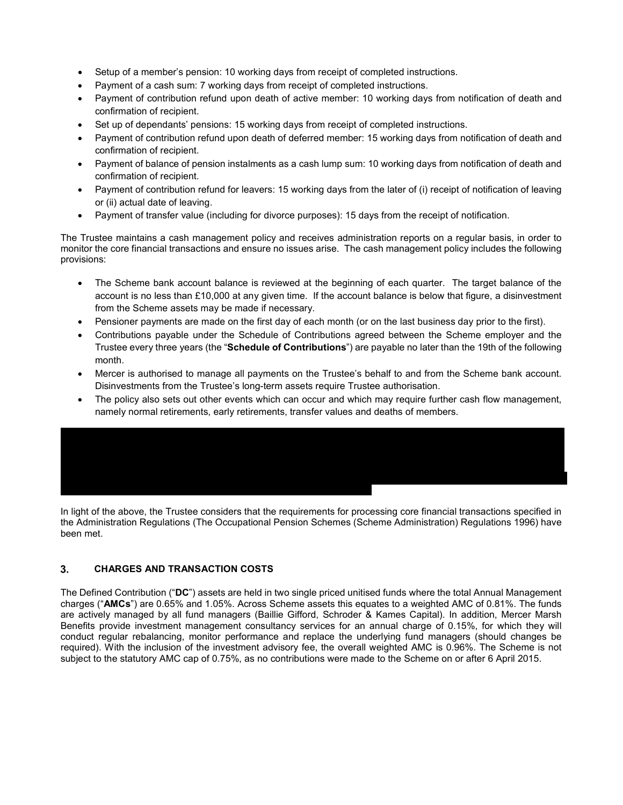- Setup of a member's pension: 10 working days from receipt of completed instructions.
- Payment of a cash sum: 7 working days from receipt of completed instructions.
- Payment of contribution refund upon death of active member: 10 working days from notification of death and confirmation of recipient.
- Set up of dependants' pensions: 15 working days from receipt of completed instructions.
- Payment of contribution refund upon death of deferred member: 15 working days from notification of death and confirmation of recipient.
- Payment of balance of pension instalments as a cash lump sum: 10 working days from notification of death and confirmation of recipient.
- Payment of contribution refund for leavers: 15 working days from the later of (i) receipt of notification of leaving or (ii) actual date of leaving.
- Payment of transfer value (including for divorce purposes): 15 days from the receipt of notification.

The Trustee maintains a cash management policy and receives administration reports on a regular basis, in order to monitor the core financial transactions and ensure no issues arise. The cash management policy includes the following provisions:

- The Scheme bank account balance is reviewed at the beginning of each quarter. The target balance of the account is no less than £10,000 at any given time. If the account balance is below that figure, a disinvestment from the Scheme assets may be made if necessary.
- Pensioner payments are made on the first day of each month (or on the last business day prior to the first).
- Contributions payable under the Schedule of Contributions agreed between the Scheme employer and the Trustee every three years (the "**Schedule of Contributions**") are payable no later than the 19th of the following month.
- Mercer is authorised to manage all payments on the Trustee's behalf to and from the Scheme bank account. Disinvestments from the Trustee's long-term assets require Trustee authorisation.
- The policy also sets out other events which can occur and which may require further cash flow management, namely normal retirements, early retirements, transfer values and deaths of members.

In light of the above, the Trustee considers that the requirements for processing core financial transactions specified in the Administration Regulations (The Occupational Pension Schemes (Scheme Administration) Regulations 1996) have been met.

### **CHARGES AND TRANSACTION COSTS**

The Defined Contribution ("**DC**") assets are held in two single priced unitised funds where the total Annual Management charges ("**AMCs**") are 0.65% and 1.05%. Across Scheme assets this equates to a weighted AMC of 0.81%. The funds are actively managed by all fund managers (Baillie Gifford, Schroder & Kames Capital). In addition, Mercer Marsh Benefits provide investment management consultancy services for an annual charge of 0.15%, for which they will conduct regular rebalancing, monitor performance and replace the underlying fund managers (should changes be required). With the inclusion of the investment advisory fee, the overall weighted AMC is 0.96%. The Scheme is not subject to the statutory AMC cap of 0.75%, as no contributions were made to the Scheme on or after 6 April 2015.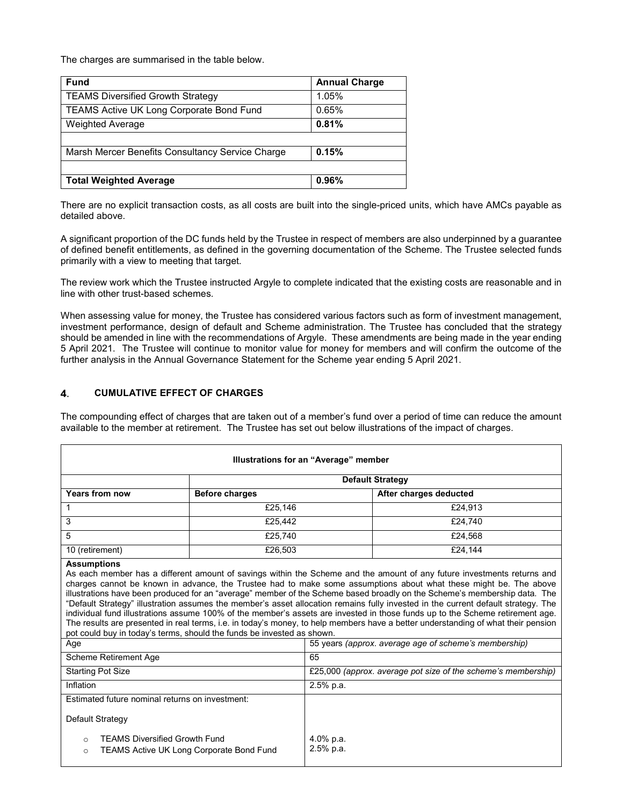The charges are summarised in the table below.

| <b>Fund</b>                                      | <b>Annual Charge</b> |
|--------------------------------------------------|----------------------|
| <b>TEAMS Diversified Growth Strategy</b>         | 1.05%                |
| TEAMS Active UK Long Corporate Bond Fund         | 0.65%                |
| <b>Weighted Average</b>                          | 0.81%                |
|                                                  |                      |
| Marsh Mercer Benefits Consultancy Service Charge | 0.15%                |
|                                                  |                      |
| <b>Total Weighted Average</b>                    | 0.96%                |

There are no explicit transaction costs, as all costs are built into the single-priced units, which have AMCs payable as detailed above.

A significant proportion of the DC funds held by the Trustee in respect of members are also underpinned by a guarantee of defined benefit entitlements, as defined in the governing documentation of the Scheme. The Trustee selected funds primarily with a view to meeting that target.

The review work which the Trustee instructed Argyle to complete indicated that the existing costs are reasonable and in line with other trust-based schemes.

When assessing value for money, the Trustee has considered various factors such as form of investment management, investment performance, design of default and Scheme administration. The Trustee has concluded that the strategy should be amended in line with the recommendations of Argyle. These amendments are being made in the year ending 5 April 2021. The Trustee will continue to monitor value for money for members and will confirm the outcome of the further analysis in the Annual Governance Statement for the Scheme year ending 5 April 2021.

## **CUMULATIVE EFFECT OF CHARGES**

The compounding effect of charges that are taken out of a member's fund over a period of time can reduce the amount available to the member at retirement. The Trustee has set out below illustrations of the impact of charges.

| Illustrations for an "Average" member                                                                                                                                                                                                                                                                                                                                                                                                                                                                                                                                                                                                                                                                                                                                                                                                                                                                                          |                                                 |                                                               |                        |  |
|--------------------------------------------------------------------------------------------------------------------------------------------------------------------------------------------------------------------------------------------------------------------------------------------------------------------------------------------------------------------------------------------------------------------------------------------------------------------------------------------------------------------------------------------------------------------------------------------------------------------------------------------------------------------------------------------------------------------------------------------------------------------------------------------------------------------------------------------------------------------------------------------------------------------------------|-------------------------------------------------|---------------------------------------------------------------|------------------------|--|
|                                                                                                                                                                                                                                                                                                                                                                                                                                                                                                                                                                                                                                                                                                                                                                                                                                                                                                                                | <b>Default Strategy</b>                         |                                                               |                        |  |
| <b>Years from now</b>                                                                                                                                                                                                                                                                                                                                                                                                                                                                                                                                                                                                                                                                                                                                                                                                                                                                                                          | <b>Before charges</b>                           |                                                               | After charges deducted |  |
| 1                                                                                                                                                                                                                                                                                                                                                                                                                                                                                                                                                                                                                                                                                                                                                                                                                                                                                                                              | £25,146                                         |                                                               | £24,913                |  |
| 3                                                                                                                                                                                                                                                                                                                                                                                                                                                                                                                                                                                                                                                                                                                                                                                                                                                                                                                              | £25,442                                         |                                                               | £24.740                |  |
| 5                                                                                                                                                                                                                                                                                                                                                                                                                                                                                                                                                                                                                                                                                                                                                                                                                                                                                                                              | £25,740                                         |                                                               | £24,568                |  |
| 10 (retirement)                                                                                                                                                                                                                                                                                                                                                                                                                                                                                                                                                                                                                                                                                                                                                                                                                                                                                                                | £26,503                                         |                                                               | £24,144                |  |
| As each member has a different amount of savings within the Scheme and the amount of any future investments returns and<br>charges cannot be known in advance, the Trustee had to make some assumptions about what these might be. The above<br>illustrations have been produced for an "average" member of the Scheme based broadly on the Scheme's membership data. The<br>"Default Strategy" illustration assumes the member's asset allocation remains fully invested in the current default strategy. The<br>individual fund illustrations assume 100% of the member's assets are invested in those funds up to the Scheme retirement age.<br>The results are presented in real terms, i.e. in today's money, to help members have a better understanding of what their pension<br>pot could buy in today's terms, should the funds be invested as shown.<br>55 years (approx, average age of scheme's membership)<br>Age |                                                 |                                                               |                        |  |
| Scheme Retirement Age                                                                                                                                                                                                                                                                                                                                                                                                                                                                                                                                                                                                                                                                                                                                                                                                                                                                                                          |                                                 | 65                                                            |                        |  |
| <b>Starting Pot Size</b>                                                                                                                                                                                                                                                                                                                                                                                                                                                                                                                                                                                                                                                                                                                                                                                                                                                                                                       |                                                 | £25,000 (approx. average pot size of the scheme's membership) |                        |  |
| Inflation                                                                                                                                                                                                                                                                                                                                                                                                                                                                                                                                                                                                                                                                                                                                                                                                                                                                                                                      |                                                 | $2.5%$ p.a.                                                   |                        |  |
| Estimated future nominal returns on investment:                                                                                                                                                                                                                                                                                                                                                                                                                                                                                                                                                                                                                                                                                                                                                                                                                                                                                |                                                 |                                                               |                        |  |
| Default Strategy                                                                                                                                                                                                                                                                                                                                                                                                                                                                                                                                                                                                                                                                                                                                                                                                                                                                                                               |                                                 |                                                               |                        |  |
| <b>TEAMS Diversified Growth Fund</b><br>$\circ$<br>$\circ$                                                                                                                                                                                                                                                                                                                                                                                                                                                                                                                                                                                                                                                                                                                                                                                                                                                                     | <b>TEAMS Active UK Long Corporate Bond Fund</b> | $4.0\%$ p.a.<br>$2.5%$ p.a.                                   |                        |  |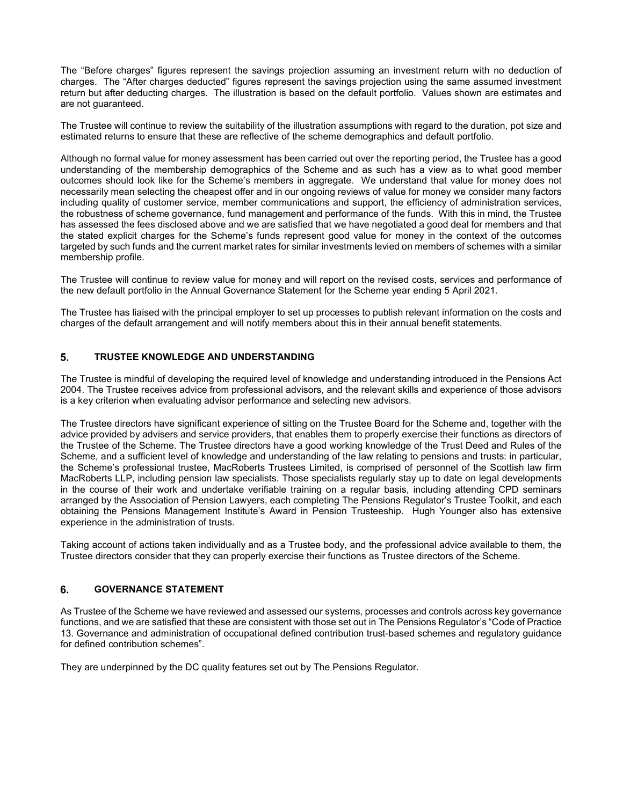The "Before charges" figures represent the savings projection assuming an investment return with no deduction of charges. The "After charges deducted" figures represent the savings projection using the same assumed investment return but after deducting charges. The illustration is based on the default portfolio. Values shown are estimates and are not guaranteed.

The Trustee will continue to review the suitability of the illustration assumptions with regard to the duration, pot size and estimated returns to ensure that these are reflective of the scheme demographics and default portfolio.

Although no formal value for money assessment has been carried out over the reporting period, the Trustee has a good understanding of the membership demographics of the Scheme and as such has a view as to what good member outcomes should look like for the Scheme's members in aggregate. We understand that value for money does not necessarily mean selecting the cheapest offer and in our ongoing reviews of value for money we consider many factors including quality of customer service, member communications and support, the efficiency of administration services, the robustness of scheme governance, fund management and performance of the funds. With this in mind, the Trustee has assessed the fees disclosed above and we are satisfied that we have negotiated a good deal for members and that the stated explicit charges for the Scheme's funds represent good value for money in the context of the outcomes targeted by such funds and the current market rates for similar investments levied on members of schemes with a similar membership profile.

The Trustee will continue to review value for money and will report on the revised costs, services and performance of the new default portfolio in the Annual Governance Statement for the Scheme year ending 5 April 2021.

The Trustee has liaised with the principal employer to set up processes to publish relevant information on the costs and charges of the default arrangement and will notify members about this in their annual benefit statements.

#### **TRUSTEE KNOWLEDGE AND UNDERSTANDING**

The Trustee is mindful of developing the required level of knowledge and understanding introduced in the Pensions Act 2004. The Trustee receives advice from professional advisors, and the relevant skills and experience of those advisors is a key criterion when evaluating advisor performance and selecting new advisors.

The Trustee directors have significant experience of sitting on the Trustee Board for the Scheme and, together with the advice provided by advisers and service providers, that enables them to properly exercise their functions as directors of the Trustee of the Scheme. The Trustee directors have a good working knowledge of the Trust Deed and Rules of the Scheme, and a sufficient level of knowledge and understanding of the law relating to pensions and trusts: in particular, the Scheme's professional trustee, MacRoberts Trustees Limited, is comprised of personnel of the Scottish law firm MacRoberts LLP, including pension law specialists. Those specialists regularly stay up to date on legal developments in the course of their work and undertake verifiable training on a regular basis, including attending CPD seminars arranged by the Association of Pension Lawyers, each completing The Pensions Regulator's Trustee Toolkit, and each obtaining the Pensions Management Institute's Award in Pension Trusteeship. Hugh Younger also has extensive experience in the administration of trusts.

Taking account of actions taken individually and as a Trustee body, and the professional advice available to them, the Trustee directors consider that they can properly exercise their functions as Trustee directors of the Scheme.

#### **GOVERNANCE STATEMENT**

As Trustee of the Scheme we have reviewed and assessed our systems, processes and controls across key governance functions, and we are satisfied that these are consistent with those set out in The Pensions Regulator's "Code of Practice 13. Governance and administration of occupational defined contribution trust-based schemes and regulatory guidance for defined contribution schemes".

They are underpinned by the DC quality features set out by The Pensions Regulator.